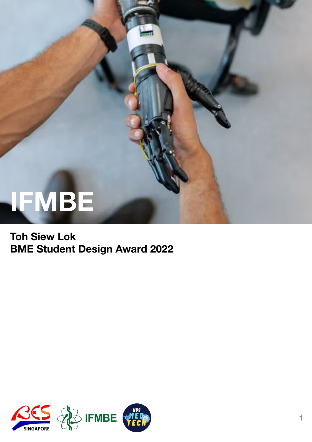# **IFMBE**

#### **Toh Siew Lok BME Student Design Award 2022**

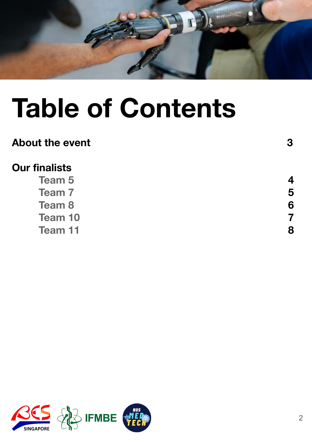

## **Table of Contents**

#### About the event 3

### **Our finalists**

**Team 5 4 Team 7** 5 **Team 8** 6 **Team 10** 7<br>**Team 11** 8 **Team 11** 



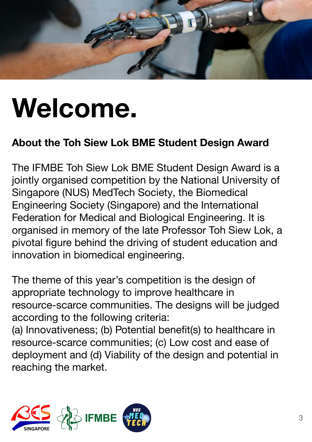

## **Welcome.**

### **About the Toh Siew Lok BME Student Design Award**

The IFMBE Toh Siew Lok BME Student Design Award is a jointly organised competition by the National University of Singapore (NUS) MedTech Society, the Biomedical Engineering Society (Singapore) and the International Federation for Medical and Biological Engineering. It is organised in memory of the late Professor Toh Siew Lok, a pivotal figure behind the driving of student education and innovation in biomedical engineering.

The theme of this year's competition is the design of appropriate technology to improve healthcare in resource-scarce communities. The designs will be judged according to the following criteria:

(a) Innovativeness; (b) Potential benefit(s) to healthcare in resource-scarce communities; (c) Low cost and ease of deployment and (d) Viability of the design and potential in reaching the market.

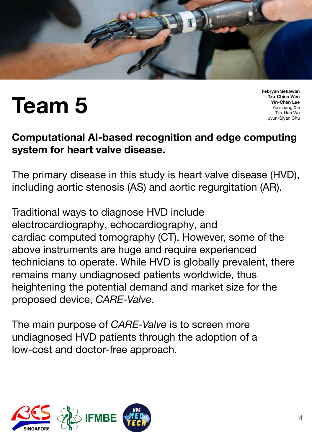

### **Team 5**

**Febryan Setiawan Tzu-Chien Wen Yin-Chen Lee** You-Liang Xie Tzu-Hao Wu Jyun-Siyan Chu

#### **Computational AI-based recognition and edge computing system for heart valve disease.**

The primary disease in this study is heart valve disease (HVD), including aortic stenosis (AS) and aortic regurgitation (AR).

Traditional ways to diagnose HVD include electrocardiography, echocardiography, and cardiac computed tomography (CT). However, some of the above instruments are huge and require experienced technicians to operate. While HVD is globally prevalent, there remains many undiagnosed patients worldwide, thus heightening the potential demand and market size for the proposed device, *CARE-Valve*.

The main purpose of *CARE-Valve* is to screen more undiagnosed HVD patients through the adoption of a low-cost and doctor-free approach.

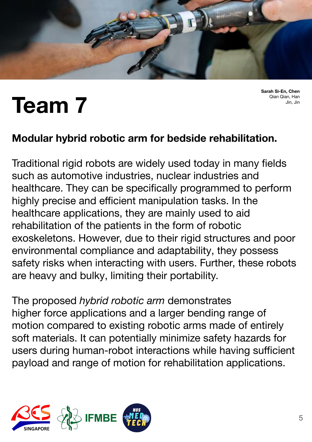

**Sarah Si-En, Chen** Qian Qian, Han Jin, Jin

### **Team 7**

#### **Modular hybrid robotic arm for bedside rehabilitation.**

Traditional rigid robots are widely used today in many fields such as automotive industries, nuclear industries and healthcare. They can be specifically programmed to perform highly precise and efficient manipulation tasks. In the healthcare applications, they are mainly used to aid rehabilitation of the patients in the form of robotic exoskeletons. However, due to their rigid structures and poor environmental compliance and adaptability, they possess safety risks when interacting with users. Further, these robots are heavy and bulky, limiting their portability.

The proposed *hybrid robotic arm* demonstrates higher force applications and a larger bending range of motion compared to existing robotic arms made of entirely soft materials. It can potentially minimize safety hazards for users during human-robot interactions while having sufficient payload and range of motion for rehabilitation applications.

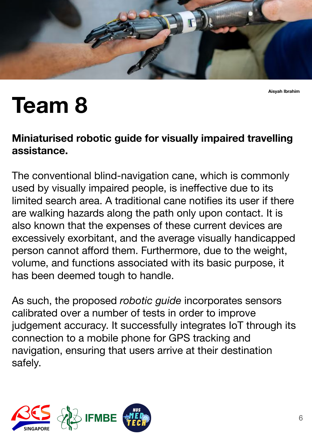

**Aisyah Ibrahim**

### **Team 8**

#### **Miniaturised robotic guide for visually impaired travelling assistance.**

The conventional blind-navigation cane, which is commonly used by visually impaired people, is ineffective due to its limited search area. A traditional cane notifies its user if there are walking hazards along the path only upon contact. It is also known that the expenses of these current devices are excessively exorbitant, and the average visually handicapped person cannot afford them. Furthermore, due to the weight, volume, and functions associated with its basic purpose, it has been deemed tough to handle.

As such, the proposed *robotic guide* incorporates sensors calibrated over a number of tests in order to improve judgement accuracy. It successfully integrates IoT through its connection to a mobile phone for GPS tracking and navigation, ensuring that users arrive at their destination safely.

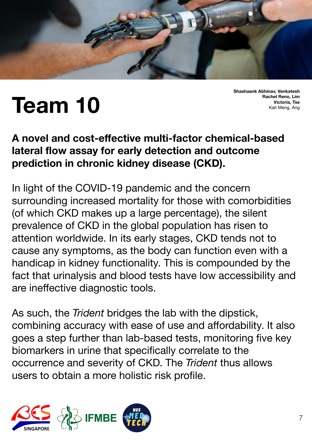

### **Team 10**

**Shashaank Abhinav, Venkatesh Rachel Reno, Lim Victoria, Tse** Kah Meng, Ang

#### **A novel and cost-effective multi-factor chemical-based lateral flow assay for early detection and outcome prediction in chronic kidney disease (CKD).**

In light of the COVID-19 pandemic and the concern surrounding increased mortality for those with comorbidities (of which CKD makes up a large percentage), the silent prevalence of CKD in the global population has risen to attention worldwide. In its early stages, CKD tends not to cause any symptoms, as the body can function even with a handicap in kidney functionality. This is compounded by the fact that urinalysis and blood tests have low accessibility and are ineffective diagnostic tools.

As such, the *Trident* bridges the lab with the dipstick, combining accuracy with ease of use and affordability. It also goes a step further than lab-based tests, monitoring five key biomarkers in urine that specifically correlate to the occurrence and severity of CKD. The *Trident* thus allows users to obtain a more holistic risk profile.

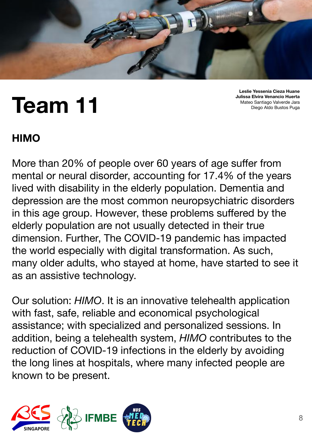

### **Team 11**

**Leslie Yessenia Cieza Huane Julissa Elvira Venancio Huerta** Mateo Santiago Valverde Jara Diego Aldo Bustos Puga

### **HIMO**

More than 20% of people over 60 years of age suffer from mental or neural disorder, accounting for 17.4% of the years lived with disability in the elderly population. Dementia and depression are the most common neuropsychiatric disorders in this age group. However, these problems suffered by the elderly population are not usually detected in their true dimension. Further, The COVID-19 pandemic has impacted the world especially with digital transformation. As such, many older adults, who stayed at home, have started to see it as an assistive technology.

Our solution: *HIMO*. It is an innovative telehealth application with fast, safe, reliable and economical psychological assistance; with specialized and personalized sessions. In addition, being a telehealth system, *HIMO* contributes to the reduction of COVID-19 infections in the elderly by avoiding the long lines at hospitals, where many infected people are known to be present.